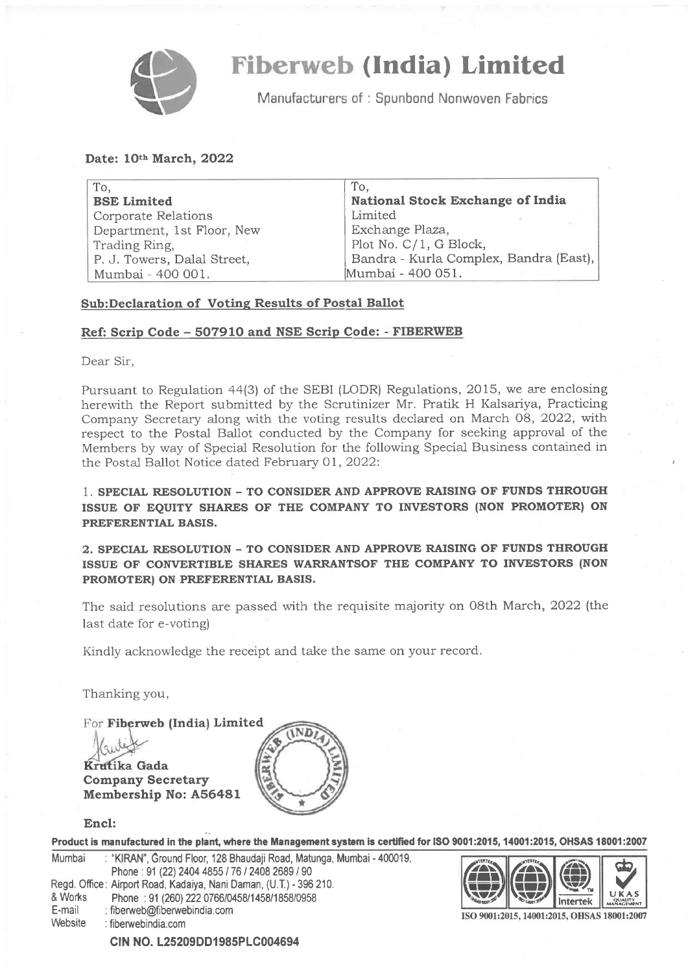

### (India) Limited

Manufacturers of: Spunbond Nonwoven Fabrics

#### Date: 10th March, 2022

| To,                         | To,                                     |
|-----------------------------|-----------------------------------------|
| <b>BSE Limited</b>          | <b>National Stock Exchange of India</b> |
| <b>Corporate Relations</b>  | Limited                                 |
| Department, 1st Floor, New  | Exchange Plaza,                         |
| Trading Ring,               | Plot No. C/1, G Block,                  |
| P. J. Towers, Dalal Street, | Bandra - Kurla Complex, Bandra (East),  |
| Mumbai - 400 001.           | Mumbai - 400 051.                       |

### Sub:Declaration of Votinq Results of Postal Ballot

#### Reft Scrip Code - 5O791O and NSE Scrip Code: - FIBERWEB

Dear Sir,

Pursuant to Regulation a4(3) of the SEBI (LODR) Regulations, 2015, we are enclosing herewith the Report submitted by the Scrutinizer Mr. Pratik H Kalsariya, Practicing Company Secretary along with the voting results declared on March OB, 2022, will: respect to the Postal Ballot conducted by the Company for seeking approval of the Members by way of Special Resolution for the following Special Business contained in the Postal Ballot Notice dated February Ol, 2022:

1. SPECIAL RESOLUTION - TO CONSIDER AND APPROVE RAISING OF FUNDS THROUGH ISSUE OF EQUITY SHARES OF THE COMPANY TO INVESTORS (NON PROMOTER) ON PREFERENTIAL BASIS.

2. SPECIAL RESOLUTION - TO CONSIDER AND APPROVE RAISING OF'FUNDS THROUGH ISSUE OF CONVERTIBLE SHARES WARRANTSOF THE COMPANY TO INVESTORS (NON PROMOTER) ON PREFERENTIAL BASIS.

The said resolutions are passed with the requisite majority on 08th March, 2022 (the last date for e-voting)

Kindly acknowledge the receipt and take the same on your record.

Thanking you,

For Fiberweb (India) Limited **IND** Krutika Gada Company Secretary Membership No: A56481

### Encl:

|                                     | Product is manufactured in the plant, where the Management system is certified for ISO 9001:2015, 14001:2015, OHSAS 18001:2007                                            |                                             |          |              |
|-------------------------------------|---------------------------------------------------------------------------------------------------------------------------------------------------------------------------|---------------------------------------------|----------|--------------|
| Mumbai                              | : "KIRAN", Ground Floor, 128 Bhaudaji Road, Matunga, Mumbai - 400019.<br>Phone: 91 (22) 2404 4855 / 76 / 2408 2689 / 90                                                   | $\bigoplus$                                 |          | $\mathbf{E}$ |
| & Works<br>E-mail<br><b>Website</b> | Regd. Office: Airport Road, Kadaiya, Nani Daman, (U.T.) - 396 210.<br>Phone: 91 (260) 222 0766/0458/1458/1858/0958<br>: fiberweb@fiberwebindia.com<br>: fiberwebindia.com | ISO 9001:2015, 14001:2015, OHSAS 18001:2007 | Intertek | UKAS         |
|                                     |                                                                                                                                                                           |                                             |          |              |

CIN NO. L25209DD1985PLC004694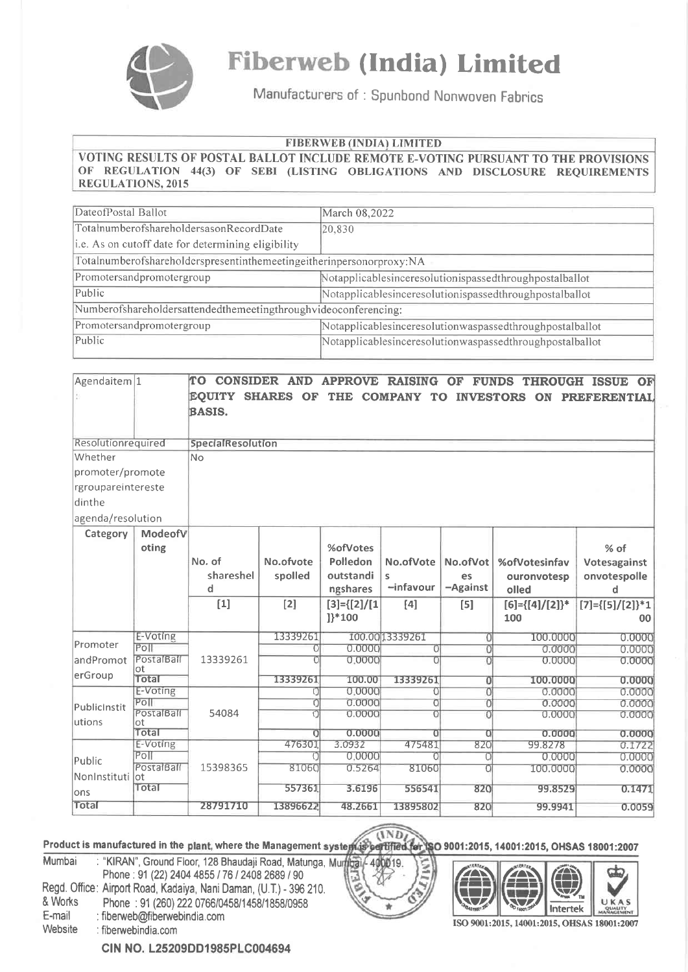

# **Fiberweb (India) Limited**

Manufacturers of: Spunbond Nonwoven Fabrics

#### **FIBERWEB** (INDIA) LIMITED

VOTING RESULTS OF POSTAL BALLOT INCLUDE REMOTE E-VOTING PURSUANT TO THE PROVISIONS OF REGULATION 44(3) OF SEBI (LISTING OBLIGATIONS AND DISCLOSURE REQUIREMENTS **REGULATIONS, 2015** 

| DateofPostal Ballot                                                  | March 08,2022                                            |  |  |  |  |  |
|----------------------------------------------------------------------|----------------------------------------------------------|--|--|--|--|--|
| TotalnumberofshareholdersasonRecordDate                              | 20,830                                                   |  |  |  |  |  |
| i.e. As on cutoff date for determining eligibility                   |                                                          |  |  |  |  |  |
| Totalnumberofshareholderspresentinthemeetingeitherinpersonorproxy:NA |                                                          |  |  |  |  |  |
| Promotersandpromotergroup                                            | Notapplicablesinceresolutionispassedthroughpostalballot  |  |  |  |  |  |
| Public                                                               | Notapplicablesinceresolutionispassedthroughpostalballot  |  |  |  |  |  |
| Numberofshareholdersattendedthemeetingthroughvideoconferencing:      |                                                          |  |  |  |  |  |
| Promotersandpromotergroup                                            | Notapplicablesinceresolutionwaspassedthroughpostalballot |  |  |  |  |  |
| Public                                                               | Notapplicablesinceresolutionwaspassedthroughpostalballot |  |  |  |  |  |

| Agendaitem 1       |                    | TO CONSIDER AND         |           |                      | <b>APPROVE RAISING</b>   | OF                  | <b>FUNDS THROUGH ISSUE</b> | OF                         |
|--------------------|--------------------|-------------------------|-----------|----------------------|--------------------------|---------------------|----------------------------|----------------------------|
|                    |                    | <b>EQUITY SHARES OF</b> |           |                      | THE COMPANY TO INVESTORS |                     | ON                         | <b>PREFERENTIAL</b>        |
|                    |                    | <b>BASIS.</b>           |           |                      |                          |                     |                            |                            |
|                    |                    |                         |           |                      |                          |                     |                            |                            |
| Resolutionrequired |                    | SpecialResolution       |           |                      |                          |                     |                            |                            |
| Whether            |                    | No                      |           |                      |                          |                     |                            |                            |
| promoter/promote   |                    |                         |           |                      |                          |                     |                            |                            |
| rgroupareintereste |                    |                         |           |                      |                          |                     |                            |                            |
| dinthe             |                    |                         |           |                      |                          |                     |                            |                            |
| agenda/resolution  |                    |                         |           |                      |                          |                     |                            |                            |
| Category           | ModeofV            |                         |           |                      |                          |                     |                            |                            |
|                    | oting              |                         |           | %ofVotes             |                          |                     |                            | % of                       |
|                    |                    | No. of                  | No.ofvote | Polledon             | No.ofVote                | No.ofVot            | %ofVotesinfav              | Votesagainst               |
|                    |                    | shareshel               | spolled   | outstandi            | s                        | es                  | ouronvotesp                | onvotespolle               |
|                    |                    | d                       |           | ngshares             | $-infavour$              | -Against            | olled                      | d                          |
|                    |                    | $[1]$                   | $[2]$     | $[3] = \{ [2] / [1]$ | [4]                      | $[5]$               | $[6] = \{ [4] / [2] \}$ *  | $[7] = \{ [5] / [2] \}$ *1 |
|                    |                    |                         |           | $]$ <sup>*</sup> 100 |                          |                     | 100                        | 00                         |
|                    | E-Voting           |                         | 13339261  |                      | 100.00 13339261          | $\overline{0}$      | 100.0000                   | 0.0000                     |
| Promoter           | Poll               |                         | 0         | 0.0000               | 0                        | 0                   | 0.0000                     | 0.0000                     |
| andPromot          | PostalBall<br>ot   | 13339261                |           | 0.0000               | n                        | n                   | 0.0000                     | 0.0000                     |
| erGroup            | Total              |                         | 13339261  | 100.00               | 13339261                 | 0                   | 100.0000                   | 0.0000                     |
|                    | E-Voting           |                         | Ω         | 0.0000               | 0                        | O.                  | 0.0000                     | 0.0000                     |
| PublicInstit       | P <sub>O</sub>     |                         | 0         | 0.0000               | 0                        | $\overline{O}$      | 0.0000                     | 0.0000                     |
| utions             | PostalBall<br>ot   | 54084                   |           | 0.0000               | $\overline{0}$           | n                   | 0.0000                     | 0.0000                     |
|                    | Total              |                         | 0         | 0.0000               | $\overline{0}$           | $\Omega$            | 0.0000                     | 0.0000                     |
|                    | E-Voting           |                         | 476301    | 3.0932               | 475481                   | 820                 | 99.8278                    | 0.1722                     |
| Public             | Poll               |                         | O         | 0.0000               | Ū                        | $\Omega$            | 0.0000                     | 0.0000                     |
| NonInstituti       | PostalBall<br>lot. | 15398365                | 81060     | 0.5264               | 81060                    | $\overline{\Omega}$ | 100.0000                   | 0.0000                     |
| ons                | Total              |                         | 557361    | 3.6196               | 556541                   | 820                 | 99.8529                    | 0.1471                     |
| Total              |                    | 28791710                | 13896622  | 48.2661              | 13895802                 | 820                 | 99.9941                    | 0.0059                     |

# Product is manufactured in the plant, where the Management system is bettified for SO 9001:2015, 14001:2015, OHSAS 18001:2007

: "KIRAN", Ground Floor, 128 Bhaudaji Road, Matunga, Murfigai, 400019. Mumbai Phone: 91 (22) 2404 4855 / 76 / 2408 2689 / 90 Regd. Office: Airport Road, Kadaiya, Nani Daman, (U.T.) - 396 210. & Works Phone: 91 (260) 222 0766/0458/1458/1858/0958 E-mail : fiberweb@fiberwebindia.com Website : fiberwebindia.com



ISO 9001:2015, 14001:2015, OHSAS 18001:2007

CIN NO. L25209DD1985PLC004694